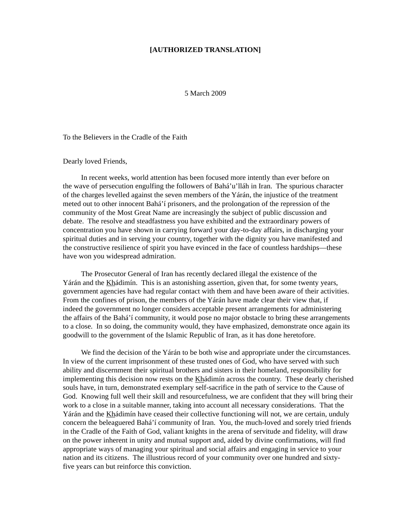## **[AUTHORIZED TRANSLATION]**

5 March 2009

To the Believers in the Cradle of the Faith

## Dearly loved Friends,

In recent weeks, world attention has been focused more intently than ever before on the wave of persecution engulfing the followers of Bahá'u'lláh in Iran. The spurious character of the charges levelled against the seven members of the Yárán, the injustice of the treatment meted out to other innocent Bahá'í prisoners, and the prolongation of the repression of the community of the Most Great Name are increasingly the subject of public discussion and debate. The resolve and steadfastness you have exhibited and the extraordinary powers of concentration you have shown in carrying forward your day-to-day affairs, in discharging your spiritual duties and in serving your country, together with the dignity you have manifested and the constructive resilience of spirit you have evinced in the face of countless hardships—these have won you widespread admiration.

The Prosecutor General of Iran has recently declared illegal the existence of the Yárán and the Khádimín. This is an astonishing assertion, given that, for some twenty years, government agencies have had regular contact with them and have been aware of their activities. From the confines of prison, the members of the Yárán have made clear their view that, if indeed the government no longer considers acceptable present arrangements for administering the affairs of the Bahá'í community, it would pose no major obstacle to bring these arrangements to a close. In so doing, the community would, they have emphasized, demonstrate once again its goodwill to the government of the Islamic Republic of Iran, as it has done heretofore.

We find the decision of the Yárán to be both wise and appropriate under the circumstances. In view of the current imprisonment of these trusted ones of God, who have served with such ability and discernment their spiritual brothers and sisters in their homeland, responsibility for implementing this decision now rests on the Khádimín across the country. These dearly cherished souls have, in turn, demonstrated exemplary self-sacrifice in the path of service to the Cause of God. Knowing full well their skill and resourcefulness, we are confident that they will bring their work to a close in a suitable manner, taking into account all necessary considerations. That the Yárán and the Khádimín have ceased their collective functioning will not, we are certain, unduly concern the beleaguered Bahá'í community of Iran. You, the much-loved and sorely tried friends in the Cradle of the Faith of God, valiant knights in the arena of servitude and fidelity, will draw on the power inherent in unity and mutual support and, aided by divine confirmations, will find appropriate ways of managing your spiritual and social affairs and engaging in service to your nation and its citizens. The illustrious record of your community over one hundred and sixtyfive years can but reinforce this conviction.